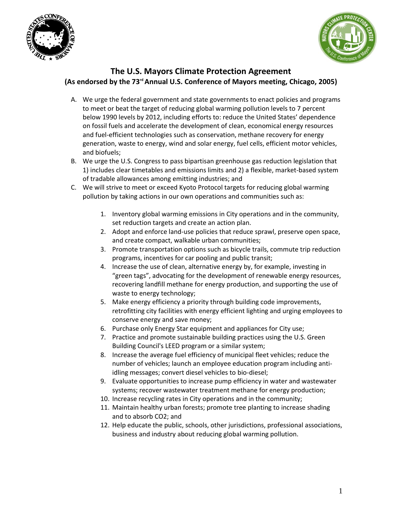



## **The U.S. Mayors Climate Protection Agreement (As endorsed by the 73rdAnnual U.S. Conference of Mayors meeting, Chicago, 2005)**

- A. We urge the federal government and state governments to enact policies and programs to meet or beat the target of reducing global warming pollution levels to 7 percent below 1990 levels by 2012, including efforts to: reduce the United States' dependence on fossil fuels and accelerate the development of clean, economical energy resources and fuel-efficient technologies such as conservation, methane recovery for energy generation, waste to energy, wind and solar energy, fuel cells, efficient motor vehicles, and biofuels;
- B. We urge the U.S. Congress to pass bipartisan greenhouse gas reduction legislation that 1) includes clear timetables and emissions limits and 2) a flexible, market-based system of tradable allowances among emitting industries; and
- C. We will strive to meet or exceed Kyoto Protocol targets for reducing global warming pollution by taking actions in our own operations and communities such as:
	- 1. Inventory global warming emissions in City operations and in the community, set reduction targets and create an action plan.
	- 2. Adopt and enforce land-use policies that reduce sprawl, preserve open space, and create compact, walkable urban communities;
	- 3. Promote transportation options such as bicycle trails, commute trip reduction programs, incentives for car pooling and public transit;
	- 4. Increase the use of clean, alternative energy by, for example, investing in "green tags", advocating for the development of renewable energy resources, recovering landfill methane for energy production, and supporting the use of waste to energy technology;
	- 5. Make energy efficiency a priority through building code improvements, retrofitting city facilities with energy efficient lighting and urging employees to conserve energy and save money;
	- 6. Purchase only Energy Star equipment and appliances for City use;
	- 7. Practice and promote sustainable building practices using the U.S. Green Building Council's LEED program or a similar system;
	- 8. Increase the average fuel efficiency of municipal fleet vehicles; reduce the number of vehicles; launch an employee education program including antiidling messages; convert diesel vehicles to bio-diesel;
	- 9. Evaluate opportunities to increase pump efficiency in water and wastewater systems; recover wastewater treatment methane for energy production;
	- 10. Increase recycling rates in City operations and in the community;
	- 11. Maintain healthy urban forests; promote tree planting to increase shading and to absorb CO2; and
	- 12. Help educate the public, schools, other jurisdictions, professional associations, business and industry about reducing global warming pollution.